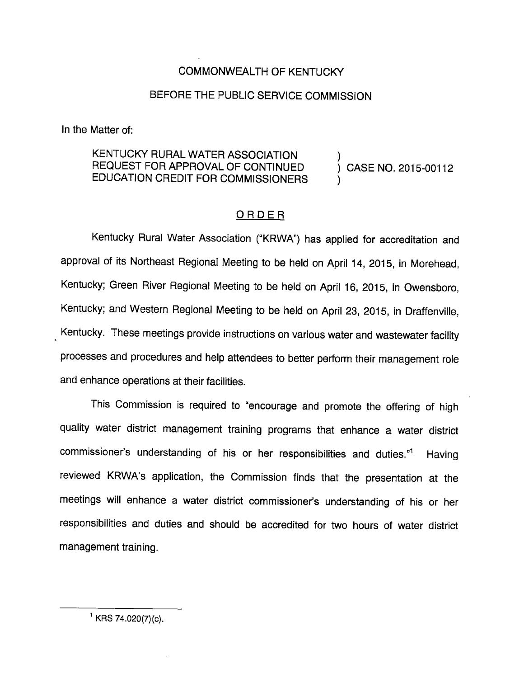## COMMONWEALTH OF KENTUCKY

## BEFORE THE PUBLIC SERVICE COMMISSION

In the Matter of:

## KENTUCKY RURAL WATER ASSOCIATION REQUEST FOR APPROVAL OF CONTINUED ) CASE NO. 2015-00112 EDUCATION CREDIT FOR COMMISSIONERS )

## ORDER

Kentucky Rural Water Association ("KRWA") has applied for accreditation and approval of its Northeast Regional Meeting to be held on April 14, 2015, in Morehead, Kentucky; Green River Regional Meeting to be held on April 16, 2015, in Owensboro, Kentucky; and Western Regional Meeting to be held on April 23, 2015, in Draffenville, Kentucky. These meetings provide instructions on various water and wastewater facility processes and procedures and help attendees to better perform their management role and enhance operations at their facilities.

This Commission is required to "encourage and promote the offering of high quality water district management training programs that enhance a water district commissioner's understanding of his or her responsibilities and duties."<sup>1</sup> Having reviewed KRWA's application, the Commission finds that the presentation at the meetings will enhance a water district commissioner's understanding of his or her responsibilities and duties and should be accredited for two hours of water district management training.

 $^1$  KRS 74.020(7)(c).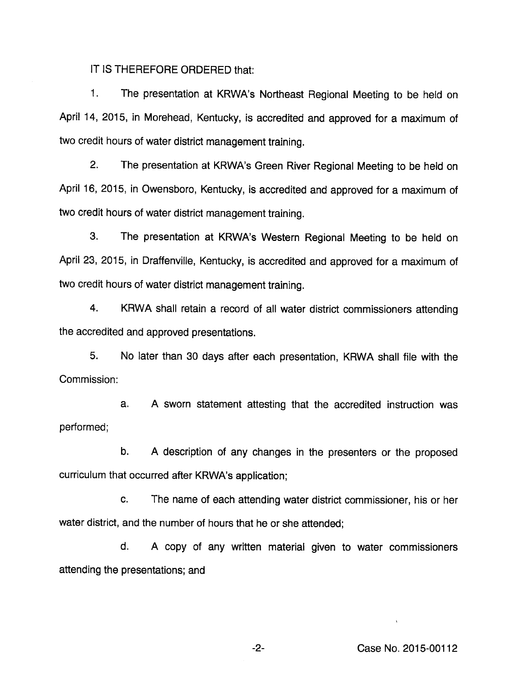IT IS THEREFORE ORDERED that:

1. The presentation at KRWA's Northeast Regional Meeting to be held on April 14, 2015, in Morehead, Kentucky, is accredited and approved for a maximum of two credit hours of water district management training.

2. The presentation at KRWA's Green River Regional Meeting to be held on April 16, 2015, in Owensboro, Kentucky, is accredited and approved for a maximum of two credit hours of water district management training.

3. The presentation at KRWA's Western Regional Meeting to be held on April 23, 2015, in Draffenville, Kentucky, is accredited and approved for a maximum of two credit hours of water district management training.

4. KRWA shall retain a record of all water district commissioners attending the accredited and approved presentations.

5. No later than 30 days after each presentation, KRWA shall file with the Commission:

a. A sworn statement attesting that the accredited instruction was performed:

b. A description of any changes in the presenters or the proposed curriculum that occurred after KRWA's application;

c. The name of each attending water district commissioner, his or her water district, and the number of hours that he or she attended;

d. A copy of any written material given to water commissioners attending the presentations; and

-2- Case No. 2015-00112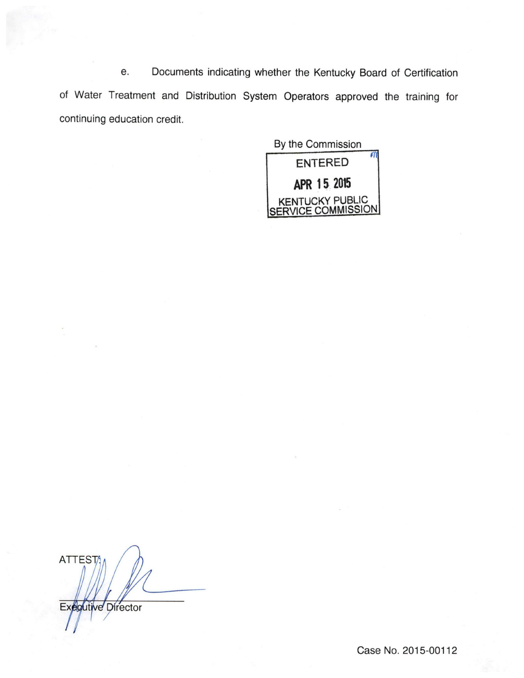e. Documents indicating whether the Kentucky Board of Certification of Water Treatment and Distribution System Operators approved the training for continuing education credit.

By the Commission entered ^ APR 15 2015 KENTUCKY PUBUC SERVICE COMMISSION

ATTEST/ Executive Director

Case No. 2015-00112